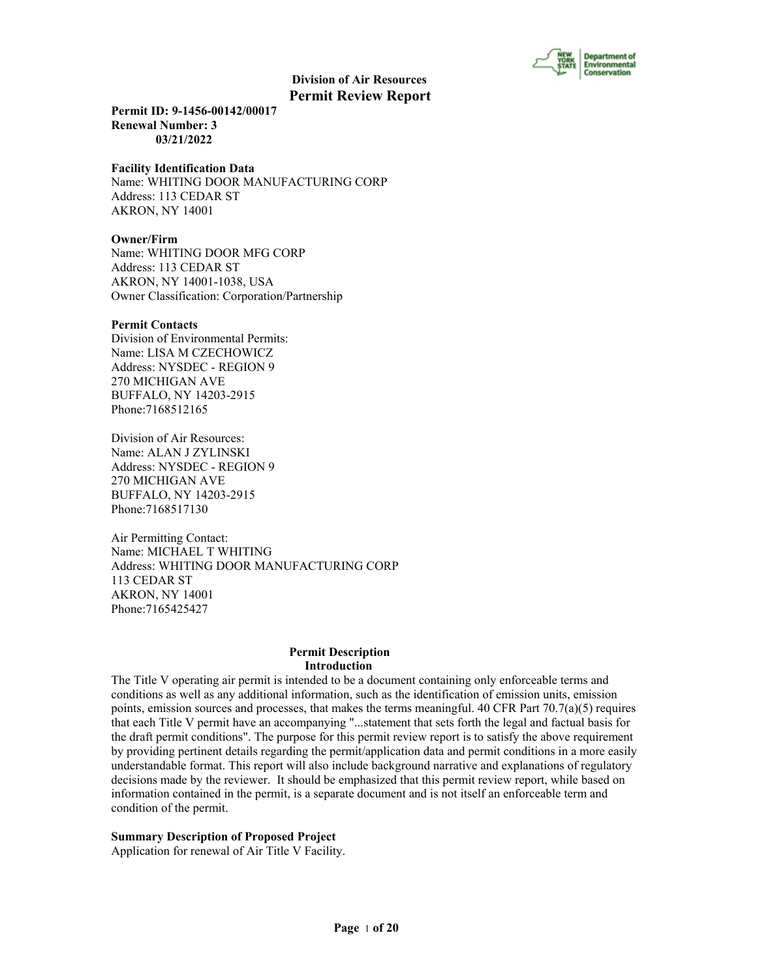

**Permit ID: 9-1456-00142/00017 Renewal Number: 3 03/21/2022**

#### **Facility Identification Data**

Name: WHITING DOOR MANUFACTURING CORP Address: 113 CEDAR ST AKRON, NY 14001

#### **Owner/Firm**

Name: WHITING DOOR MFG CORP Address: 113 CEDAR ST AKRON, NY 14001-1038, USA Owner Classification: Corporation/Partnership

#### **Permit Contacts**

Division of Environmental Permits: Name: LISA M CZECHOWICZ Address: NYSDEC - REGION 9 270 MICHIGAN AVE BUFFALO, NY 14203-2915 Phone:7168512165

Division of Air Resources: Name: ALAN J ZYLINSKI Address: NYSDEC - REGION 9 270 MICHIGAN AVE BUFFALO, NY 14203-2915 Phone:7168517130

Air Permitting Contact: Name: MICHAEL T WHITING Address: WHITING DOOR MANUFACTURING CORP 113 CEDAR ST AKRON, NY 14001 Phone:7165425427

### **Permit Description Introduction**

The Title V operating air permit is intended to be a document containing only enforceable terms and conditions as well as any additional information, such as the identification of emission units, emission points, emission sources and processes, that makes the terms meaningful. 40 CFR Part  $70.7(a)(5)$  requires that each Title V permit have an accompanying "...statement that sets forth the legal and factual basis for the draft permit conditions". The purpose for this permit review report is to satisfy the above requirement by providing pertinent details regarding the permit/application data and permit conditions in a more easily understandable format. This report will also include background narrative and explanations of regulatory decisions made by the reviewer. It should be emphasized that this permit review report, while based on information contained in the permit, is a separate document and is not itself an enforceable term and condition of the permit.

#### **Summary Description of Proposed Project**

Application for renewal of Air Title V Facility.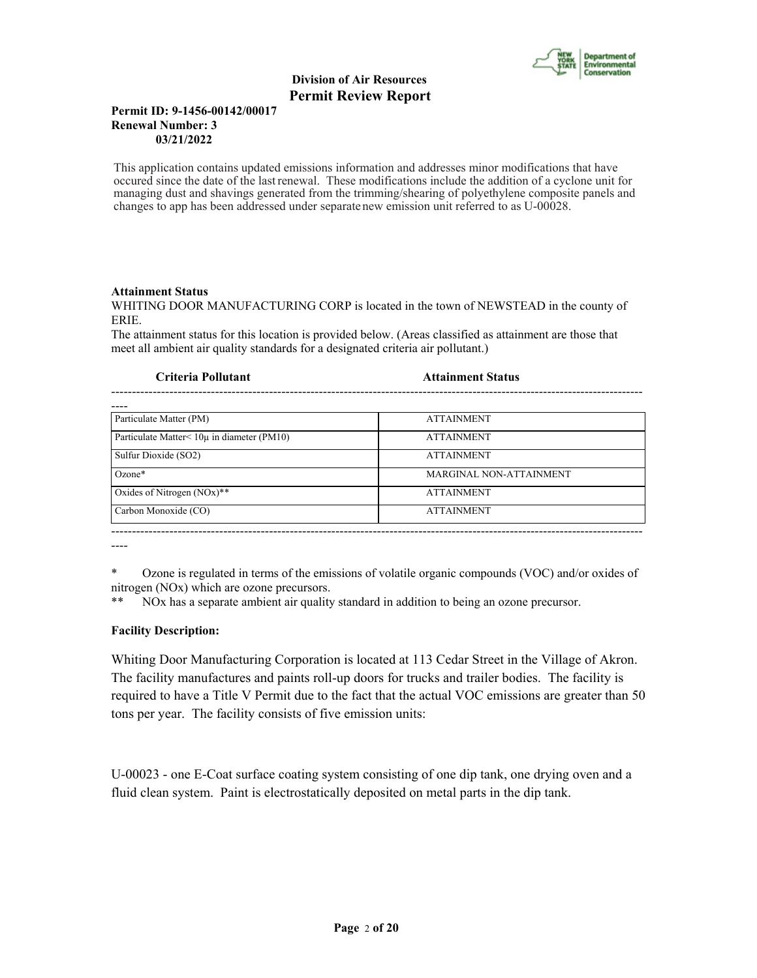

## **Permit ID: 9-1456-00142/00017 Renewal Number: 3 03/21/2022**

This application contains updated emissions information and addresses minor modifications that have occured since the date of the last renewal. These modifications include the addition of a cyclone unit for managing dust and shavings generated from the trimming/shearing of polyethylene composite panels and changes to app has been addressed under separate new emission unit referred to as U-00028.

## **Attainment Status**

WHITING DOOR MANUFACTURING CORP is located in the town of NEWSTEAD in the county of ERIE.

The attainment status for this location is provided below. (Areas classified as attainment are those that meet all ambient air quality standards for a designated criteria air pollutant.)

#### **Criteria Pollutant Attainment Status**

| Particulate Matter (PM)                            | <b>ATTAINMENT</b>              |
|----------------------------------------------------|--------------------------------|
| Particulate Matter $\leq 10\mu$ in diameter (PM10) | <b>ATTAINMENT</b>              |
| Sulfur Dioxide (SO2)                               | <b>ATTAINMENT</b>              |
| $Ozone*$                                           | <b>MARGINAL NON-ATTAINMENT</b> |
| Oxides of Nitrogen $(NOx)$ **                      | <b>ATTAINMENT</b>              |
| Carbon Monoxide (CO)                               | <b>ATTAINMENT</b>              |
|                                                    |                                |

--------------------------------------------------------------------------------------------------------------------------------

----

\* Ozone is regulated in terms of the emissions of volatile organic compounds (VOC) and/or oxides of nitrogen (NOx) which are ozone precursors.

\*\* NOx has a separate ambient air quality standard in addition to being an ozone precursor.

## **Facility Description:**

Whiting Door Manufacturing Corporation is located at 113 Cedar Street in the Village of Akron. The facility manufactures and paints roll-up doors for trucks and trailer bodies. The facility is required to have a Title V Permit due to the fact that the actual VOC emissions are greater than 50 tons per year. The facility consists of five emission units:

U-00023 - one E-Coat surface coating system consisting of one dip tank, one drying oven and a fluid clean system. Paint is electrostatically deposited on metal parts in the dip tank.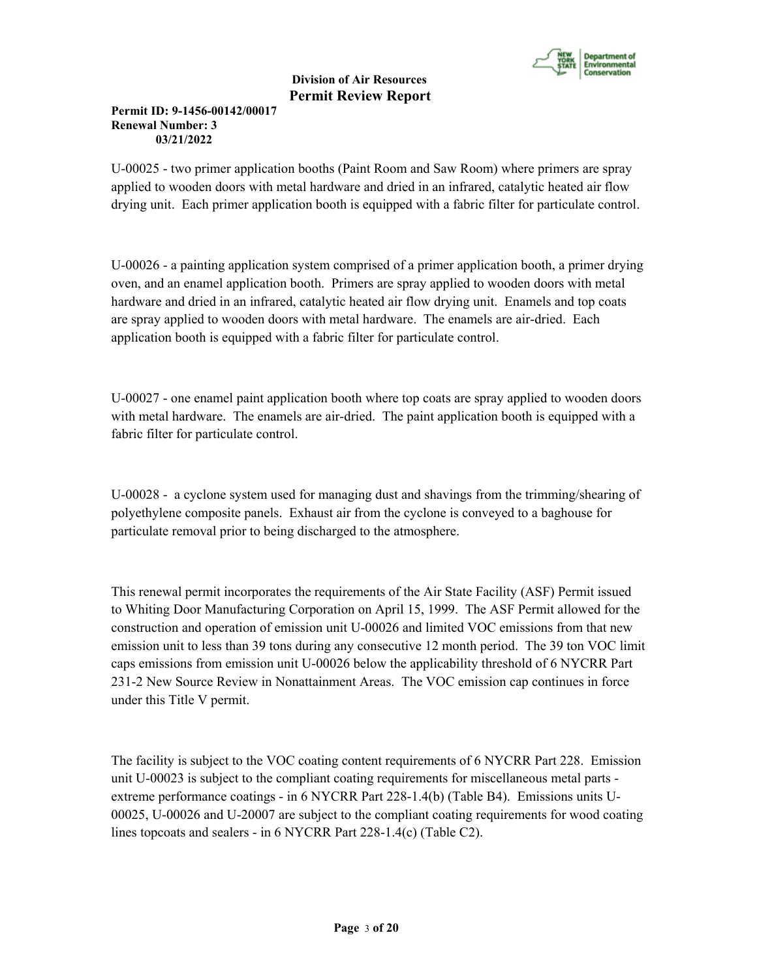

# **Permit ID: 9-1456-00142/00017 Renewal Number: 3 03/21/2022**

U-00025 - two primer application booths (Paint Room and Saw Room) where primers are spray applied to wooden doors with metal hardware and dried in an infrared, catalytic heated air flow drying unit. Each primer application booth is equipped with a fabric filter for particulate control.

U-00026 - a painting application system comprised of a primer application booth, a primer drying oven, and an enamel application booth. Primers are spray applied to wooden doors with metal hardware and dried in an infrared, catalytic heated air flow drying unit. Enamels and top coats are spray applied to wooden doors with metal hardware. The enamels are air-dried. Each application booth is equipped with a fabric filter for particulate control.

U-00027 - one enamel paint application booth where top coats are spray applied to wooden doors with metal hardware. The enamels are air-dried. The paint application booth is equipped with a fabric filter for particulate control.

U-00028 - a cyclone system used for managing dust and shavings from the trimming/shearing of polyethylene composite panels. Exhaust air from the cyclone is conveyed to a baghouse for particulate removal prior to being discharged to the atmosphere.

This renewal permit incorporates the requirements of the Air State Facility (ASF) Permit issued to Whiting Door Manufacturing Corporation on April 15, 1999. The ASF Permit allowed for the construction and operation of emission unit U-00026 and limited VOC emissions from that new emission unit to less than 39 tons during any consecutive 12 month period. The 39 ton VOC limit caps emissions from emission unit U-00026 below the applicability threshold of 6 NYCRR Part 231-2 New Source Review in Nonattainment Areas. The VOC emission cap continues in force under this Title V permit.

The facility is subject to the VOC coating content requirements of 6 NYCRR Part 228. Emission unit U-00023 is subject to the compliant coating requirements for miscellaneous metal parts extreme performance coatings - in 6 NYCRR Part 228-1.4(b) (Table B4). Emissions units U-00025, U-00026 and U-20007 are subject to the compliant coating requirements for wood coating lines topcoats and sealers - in 6 NYCRR Part 228-1.4(c) (Table C2).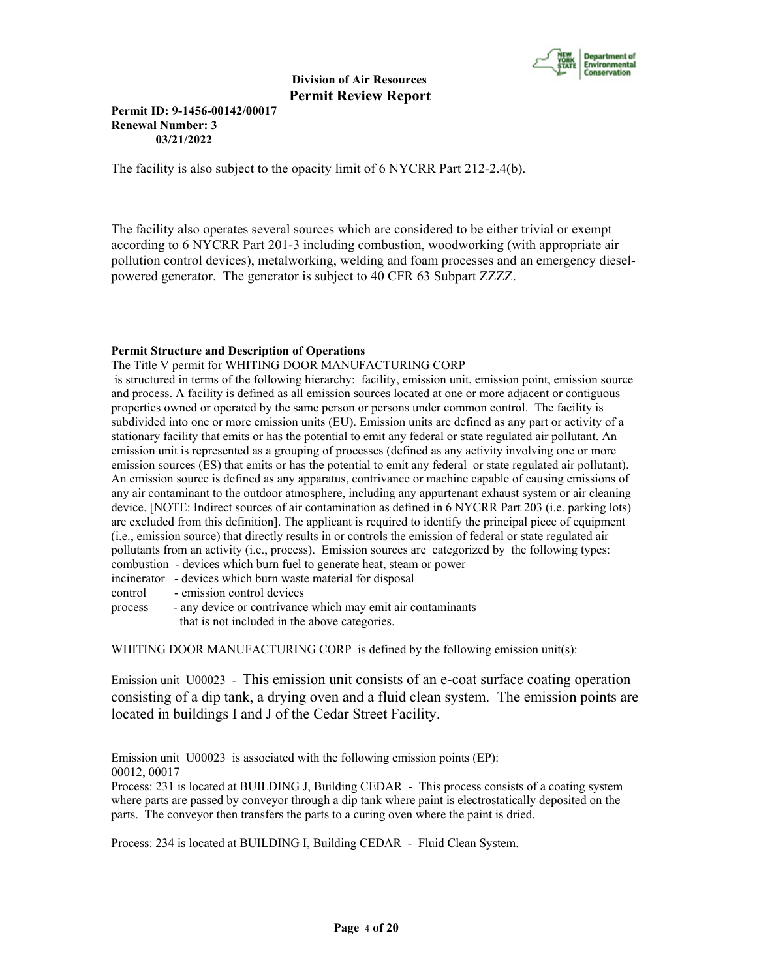

## **Permit ID: 9-1456-00142/00017 Renewal Number: 3 03/21/2022**

The facility is also subject to the opacity limit of 6 NYCRR Part 212-2.4(b).

The facility also operates several sources which are considered to be either trivial or exempt according to 6 NYCRR Part 201-3 including combustion, woodworking (with appropriate air pollution control devices), metalworking, welding and foam processes and an emergency dieselpowered generator. The generator is subject to 40 CFR 63 Subpart ZZZZ.

#### **Permit Structure and Description of Operations**

The Title V permit for WHITING DOOR MANUFACTURING CORP

 is structured in terms of the following hierarchy: facility, emission unit, emission point, emission source and process. A facility is defined as all emission sources located at one or more adjacent or contiguous properties owned or operated by the same person or persons under common control. The facility is subdivided into one or more emission units (EU). Emission units are defined as any part or activity of a stationary facility that emits or has the potential to emit any federal or state regulated air pollutant. An emission unit is represented as a grouping of processes (defined as any activity involving one or more emission sources (ES) that emits or has the potential to emit any federal or state regulated air pollutant). An emission source is defined as any apparatus, contrivance or machine capable of causing emissions of any air contaminant to the outdoor atmosphere, including any appurtenant exhaust system or air cleaning device. [NOTE: Indirect sources of air contamination as defined in 6 NYCRR Part 203 (i.e. parking lots) are excluded from this definition]. The applicant is required to identify the principal piece of equipment (i.e., emission source) that directly results in or controls the emission of federal or state regulated air pollutants from an activity (i.e., process). Emission sources are categorized by the following types: combustion - devices which burn fuel to generate heat, steam or power

incinerator - devices which burn waste material for disposal

control - emission control devices

process - any device or contrivance which may emit air contaminants that is not included in the above categories.

WHITING DOOR MANUFACTURING CORP is defined by the following emission unit(s):

Emission unit U00023 - This emission unit consists of an e-coat surface coating operation consisting of a dip tank, a drying oven and a fluid clean system. The emission points are located in buildings I and J of the Cedar Street Facility.

Emission unit U00023 is associated with the following emission points (EP): 00012, 00017

Process: 231 is located at BUILDING J, Building CEDAR - This process consists of a coating system where parts are passed by conveyor through a dip tank where paint is electrostatically deposited on the parts. The conveyor then transfers the parts to a curing oven where the paint is dried.

Process: 234 is located at BUILDING I, Building CEDAR - Fluid Clean System.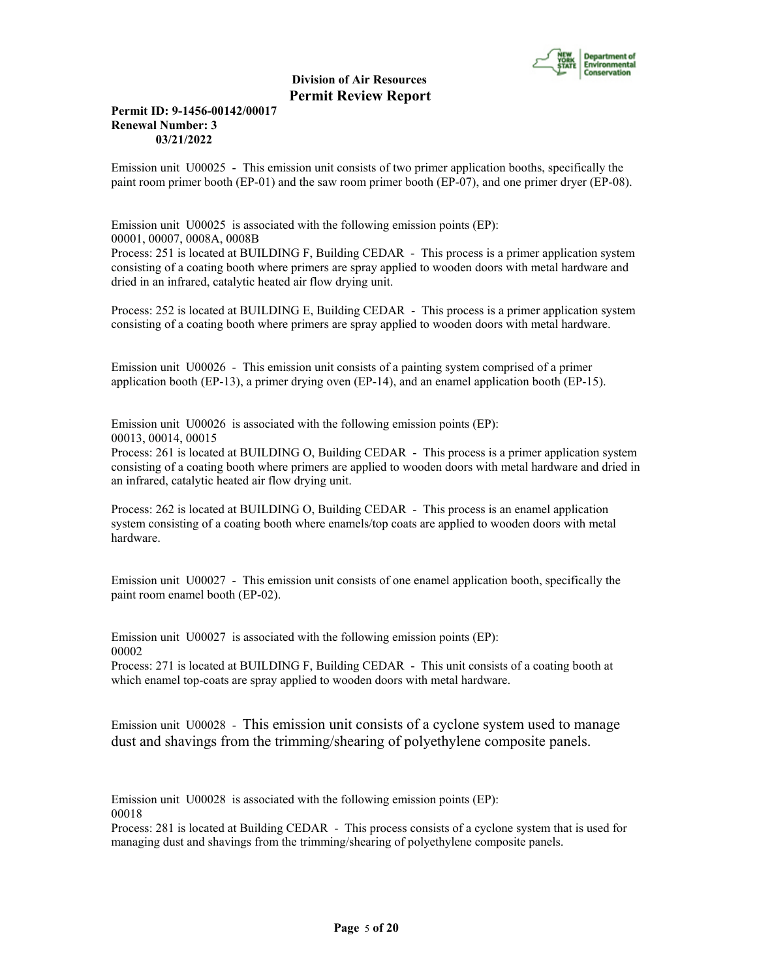

## **Permit ID: 9-1456-00142/00017 Renewal Number: 3 03/21/2022**

Emission unit U00025 - This emission unit consists of two primer application booths, specifically the paint room primer booth (EP-01) and the saw room primer booth (EP-07), and one primer dryer (EP-08).

Emission unit U00025 is associated with the following emission points (EP): 00001, 00007, 0008A, 0008B Process: 251 is located at BUILDING F, Building CEDAR - This process is a primer application system consisting of a coating booth where primers are spray applied to wooden doors with metal hardware and dried in an infrared, catalytic heated air flow drying unit.

Process: 252 is located at BUILDING E, Building CEDAR - This process is a primer application system consisting of a coating booth where primers are spray applied to wooden doors with metal hardware.

Emission unit U00026 - This emission unit consists of a painting system comprised of a primer application booth (EP-13), a primer drying oven (EP-14), and an enamel application booth (EP-15).

Emission unit U00026 is associated with the following emission points (EP): 00013, 00014, 00015

Process: 261 is located at BUILDING O, Building CEDAR - This process is a primer application system consisting of a coating booth where primers are applied to wooden doors with metal hardware and dried in an infrared, catalytic heated air flow drying unit.

Process: 262 is located at BUILDING O, Building CEDAR - This process is an enamel application system consisting of a coating booth where enamels/top coats are applied to wooden doors with metal hardware.

Emission unit U00027 - This emission unit consists of one enamel application booth, specifically the paint room enamel booth (EP-02).

Emission unit U00027 is associated with the following emission points (EP): 00002

Process: 271 is located at BUILDING F, Building CEDAR - This unit consists of a coating booth at which enamel top-coats are spray applied to wooden doors with metal hardware.

Emission unit U00028 - This emission unit consists of a cyclone system used to manage dust and shavings from the trimming/shearing of polyethylene composite panels.

Emission unit U00028 is associated with the following emission points (EP): 00018

Process: 281 is located at Building CEDAR - This process consists of a cyclone system that is used for managing dust and shavings from the trimming/shearing of polyethylene composite panels.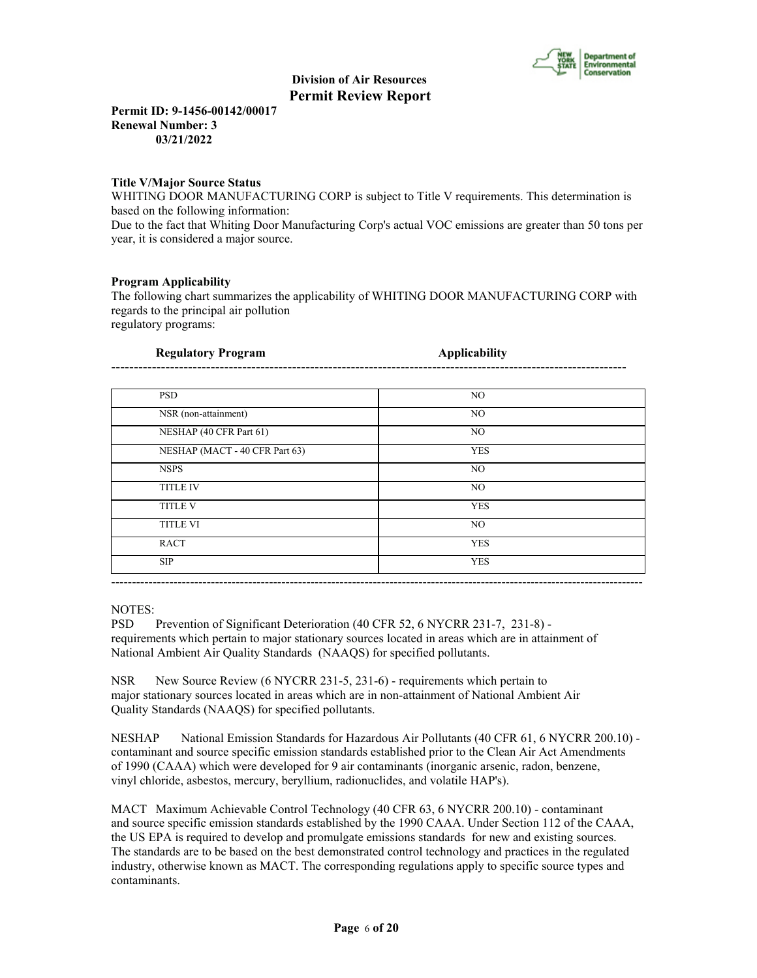

**Permit ID: 9-1456-00142/00017 Renewal Number: 3 03/21/2022**

## **Title V/Major Source Status**

WHITING DOOR MANUFACTURING CORP is subject to Title V requirements. This determination is based on the following information:

Due to the fact that Whiting Door Manufacturing Corp's actual VOC emissions are greater than 50 tons per year, it is considered a major source.

## **Program Applicability**

The following chart summarizes the applicability of WHITING DOOR MANUFACTURING CORP with regards to the principal air pollution regulatory programs:

| Regulatory Program |  |
|--------------------|--|
|                    |  |
|                    |  |

| NO.<br>NO. |
|------------|
|            |
|            |
| NO.        |
| <b>YES</b> |
| NO.        |
| NO.        |
| <b>YES</b> |
| NO.        |
| <b>YES</b> |
| <b>YES</b> |
|            |

NOTES:

PSD Prevention of Significant Deterioration (40 CFR 52, 6 NYCRR 231-7, 231-8) requirements which pertain to major stationary sources located in areas which are in attainment of National Ambient Air Quality Standards (NAAQS) for specified pollutants.

NSR New Source Review (6 NYCRR 231-5, 231-6) - requirements which pertain to major stationary sources located in areas which are in non-attainment of National Ambient Air Quality Standards (NAAQS) for specified pollutants.

NESHAP National Emission Standards for Hazardous Air Pollutants (40 CFR 61, 6 NYCRR 200.10) contaminant and source specific emission standards established prior to the Clean Air Act Amendments of 1990 (CAAA) which were developed for 9 air contaminants (inorganic arsenic, radon, benzene, vinyl chloride, asbestos, mercury, beryllium, radionuclides, and volatile HAP's).

MACT Maximum Achievable Control Technology (40 CFR 63, 6 NYCRR 200.10) - contaminant and source specific emission standards established by the 1990 CAAA. Under Section 112 of the CAAA, the US EPA is required to develop and promulgate emissions standards for new and existing sources. The standards are to be based on the best demonstrated control technology and practices in the regulated industry, otherwise known as MACT. The corresponding regulations apply to specific source types and contaminants.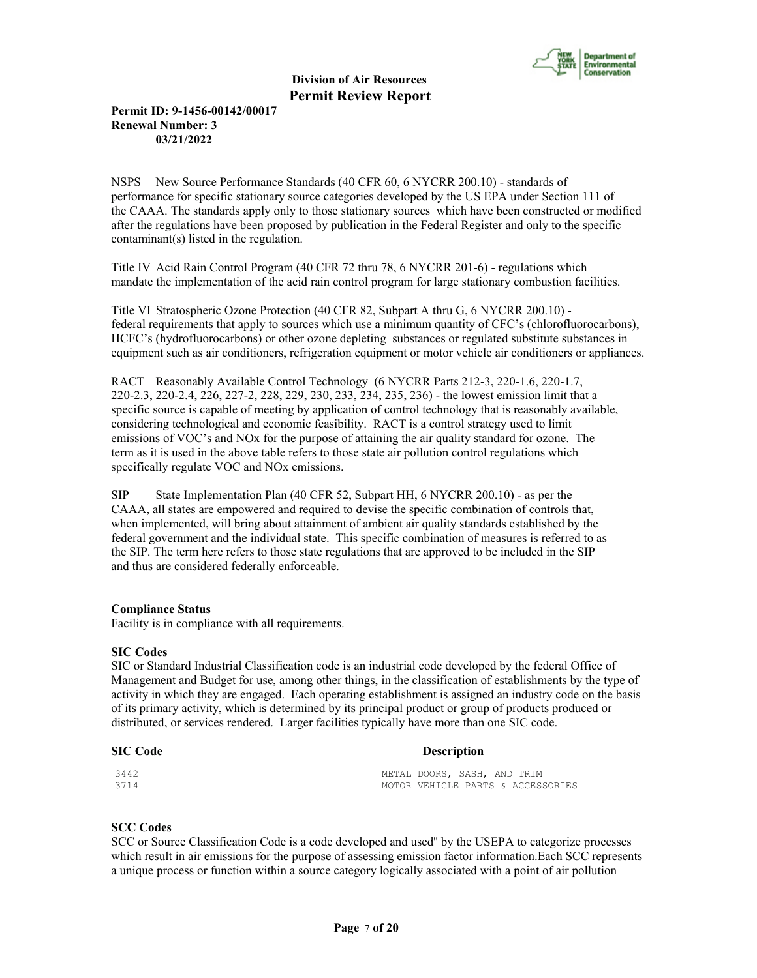

## **Permit ID: 9-1456-00142/00017 Renewal Number: 3 03/21/2022**

NSPS New Source Performance Standards (40 CFR 60, 6 NYCRR 200.10) - standards of performance for specific stationary source categories developed by the US EPA under Section 111 of the CAAA. The standards apply only to those stationary sources which have been constructed or modified after the regulations have been proposed by publication in the Federal Register and only to the specific contaminant(s) listed in the regulation.

Title IV Acid Rain Control Program (40 CFR 72 thru 78, 6 NYCRR 201-6) - regulations which mandate the implementation of the acid rain control program for large stationary combustion facilities.

Title VI Stratospheric Ozone Protection (40 CFR 82, Subpart A thru G, 6 NYCRR 200.10) federal requirements that apply to sources which use a minimum quantity of CFC's (chlorofluorocarbons), HCFC's (hydrofluorocarbons) or other ozone depleting substances or regulated substitute substances in equipment such as air conditioners, refrigeration equipment or motor vehicle air conditioners or appliances.

RACT Reasonably Available Control Technology (6 NYCRR Parts 212-3, 220-1.6, 220-1.7, 220-2.3, 220-2.4, 226, 227-2, 228, 229, 230, 233, 234, 235, 236) - the lowest emission limit that a specific source is capable of meeting by application of control technology that is reasonably available, considering technological and economic feasibility. RACT is a control strategy used to limit emissions of VOC's and NOx for the purpose of attaining the air quality standard for ozone. The term as it is used in the above table refers to those state air pollution control regulations which specifically regulate VOC and NOx emissions.

SIP State Implementation Plan (40 CFR 52, Subpart HH, 6 NYCRR 200.10) - as per the CAAA, all states are empowered and required to devise the specific combination of controls that, when implemented, will bring about attainment of ambient air quality standards established by the federal government and the individual state. This specific combination of measures is referred to as the SIP. The term here refers to those state regulations that are approved to be included in the SIP and thus are considered federally enforceable.

## **Compliance Status**

Facility is in compliance with all requirements.

#### **SIC Codes**

SIC or Standard Industrial Classification code is an industrial code developed by the federal Office of Management and Budget for use, among other things, in the classification of establishments by the type of activity in which they are engaged. Each operating establishment is assigned an industry code on the basis of its primary activity, which is determined by its principal product or group of products produced or distributed, or services rendered. Larger facilities typically have more than one SIC code.

#### **SIC Code Description**

| 3442 | METAL DOORS, SASH, AND TRIM |  |                                   |
|------|-----------------------------|--|-----------------------------------|
| 3714 |                             |  | MOTOR VEHICLE PARTS & ACCESSORIES |

#### **SCC Codes**

SCC or Source Classification Code is a code developed and used'' by the USEPA to categorize processes which result in air emissions for the purpose of assessing emission factor information.Each SCC represents a unique process or function within a source category logically associated with a point of air pollution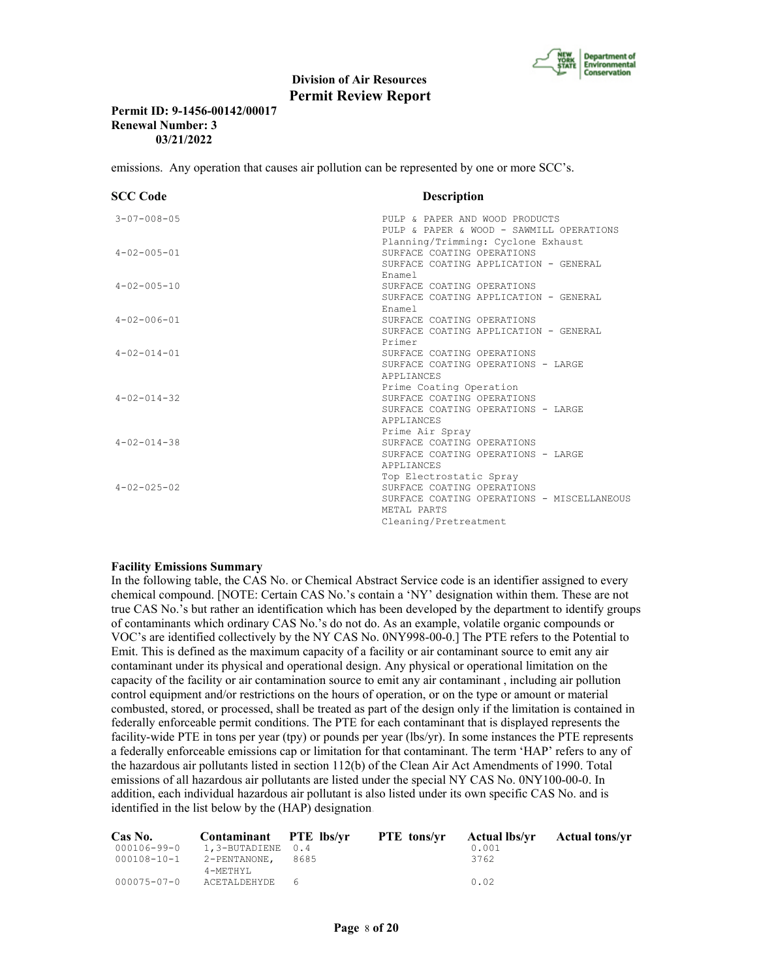

## **Permit ID: 9-1456-00142/00017 Renewal Number: 3 03/21/2022**

emissions. Any operation that causes air pollution can be represented by one or more SCC's.

| <b>SCC Code</b>     | <b>Description</b>                         |
|---------------------|--------------------------------------------|
| $3 - 07 - 008 - 05$ | PULP & PAPER AND WOOD PRODUCTS             |
|                     | PULP & PAPER & WOOD - SAWMILL OPERATIONS   |
|                     | Planning/Trimming: Cyclone Exhaust         |
| $4 - 02 - 005 - 01$ | SURFACE COATING OPERATIONS                 |
|                     | SURFACE COATING APPLICATION - GENERAL      |
|                     | Enamel                                     |
| $4 - 02 - 005 - 10$ | SURFACE COATING OPERATIONS                 |
|                     | SURFACE COATING APPLICATION - GENERAL      |
|                     | Enamel                                     |
| $4 - 02 - 006 - 01$ | SURFACE COATING OPERATIONS                 |
|                     | SURFACE COATING APPLICATION - GENERAL      |
|                     | Primer                                     |
| $4 - 02 - 014 - 01$ | SURFACE COATING OPERATIONS                 |
|                     | SURFACE COATING OPERATIONS - LARGE         |
|                     | <b>APPLIANCES</b>                          |
|                     | Prime Coating Operation                    |
| $4 - 02 - 014 - 32$ | SURFACE COATING OPERATIONS                 |
|                     | SURFACE COATING OPERATIONS - LARGE         |
|                     | APPLIANCES                                 |
|                     | Prime Air Spray                            |
| $4 - 02 - 014 - 38$ | SURFACE COATING OPERATIONS                 |
|                     | SURFACE COATING OPERATIONS - LARGE         |
|                     | APPLIANCES                                 |
|                     | Top Electrostatic Spray                    |
| $4 - 02 - 025 - 02$ | SURFACE COATING OPERATIONS                 |
|                     | SURFACE COATING OPERATIONS - MISCELLANEOUS |
|                     | METAL PARTS                                |
|                     | Cleaning/Pretreatment                      |

#### **Facility Emissions Summary**

In the following table, the CAS No. or Chemical Abstract Service code is an identifier assigned to every chemical compound. [NOTE: Certain CAS No.'s contain a 'NY' designation within them. These are not true CAS No.'s but rather an identification which has been developed by the department to identify groups of contaminants which ordinary CAS No.'s do not do. As an example, volatile organic compounds or VOC's are identified collectively by the NY CAS No. 0NY998-00-0.] The PTE refers to the Potential to Emit. This is defined as the maximum capacity of a facility or air contaminant source to emit any air contaminant under its physical and operational design. Any physical or operational limitation on the capacity of the facility or air contamination source to emit any air contaminant , including air pollution control equipment and/or restrictions on the hours of operation, or on the type or amount or material combusted, stored, or processed, shall be treated as part of the design only if the limitation is contained in federally enforceable permit conditions. The PTE for each contaminant that is displayed represents the facility-wide PTE in tons per year (tpy) or pounds per year (lbs/yr). In some instances the PTE represents a federally enforceable emissions cap or limitation for that contaminant. The term 'HAP' refers to any of the hazardous air pollutants listed in section 112(b) of the Clean Air Act Amendments of 1990. Total emissions of all hazardous air pollutants are listed under the special NY CAS No. 0NY100-00-0. In addition, each individual hazardous air pollutant is also listed under its own specific CAS No. and is identified in the list below by the (HAP) designation.

| Cas No. | Contaminant PTE lbs/vr                    |  | <b>PTE</b> tons/yr Actual lbs/yr Actual tons/yr |  |
|---------|-------------------------------------------|--|-------------------------------------------------|--|
|         | 000106-99-0 1,3-BUTADIENE 0.4             |  | 0.001                                           |  |
|         | 000108-10-1 2-PENTANONE, 8685<br>4-METHYL |  | 3762                                            |  |
|         | 000075-07-0 ACETALDEHYDE 6                |  | 0.02                                            |  |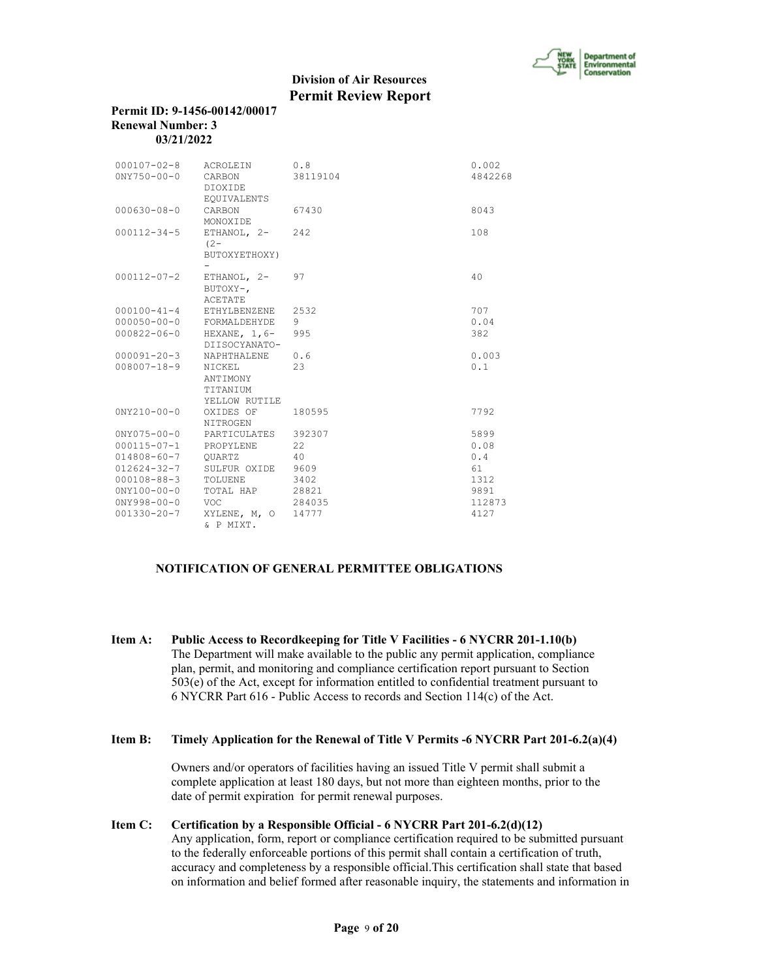

#### **Permit ID: 9-1456-00142/00017 Renewal Number: 3 03/21/2022**

| $000107 - 02 - 8$<br>$0NY750 - 00 - 0$ | ACROLEIN<br>CARBON<br>DIOXIDE                   | 0.8<br>38119104 | 0.002<br>4842268 |
|----------------------------------------|-------------------------------------------------|-----------------|------------------|
| $000630 - 08 - 0$                      | <b>EQUIVALENTS</b><br>CARBON<br>MONOXIDE        | 67430           | 8043             |
| $000112 - 34 - 5$                      | ETHANOL, 2-<br>$(2 -$<br>BUTOXYETHOXY)          | 2.42            | 108              |
| $000112 - 07 - 2$                      | ETHANOL, $2-$<br>BUTOXY-,<br><b>ACETATE</b>     | 97              | 40               |
| $000100 - 41 - 4$                      | ETHYLBENZENE                                    | 2532            | 707              |
| $000050 - 00 - 0$                      | FORMALDEHYDE                                    | 9               | 0.04             |
| $000822 - 06 - 0$                      | HEXANE, $1, 6-$<br>DIISOCYANATO-                | 995             | 382              |
| $000091 - 20 - 3$                      | NAPHTHALENE                                     | 0.6             | 0.003            |
| $008007 - 18 - 9$                      | NICKEL<br>ANTIMONY<br>TITANIUM<br>YELLOW RUTILE | 2.3             | 0.1              |
| $0NY210 - 00 - 0$                      | OXIDES OF<br>NITROGEN                           | 180595          | 7792             |
| $0NY075 - 00 - 0$                      | PARTICULATES                                    | 392307          | 5899             |
| $000115 - 07 - 1$                      | PROPYLENE                                       | 22              | 0.08             |
| $014808 - 60 - 7$                      | OUARTZ                                          | 40              | 0.4              |
| $012624 - 32 - 7$                      | SULFUR OXIDE                                    | 9609            | 61               |
| $000108 - 88 - 3$                      | TOLUENE                                         | 3402            | 1312             |
| $0NY100 - 00 - 0$                      | TOTAL HAP                                       | 28821           | 9891             |
| $0NY998 - 00 - 0$                      | <b>VOC</b>                                      | 284035          | 112873           |
| $001330 - 20 - 7$                      | XYLENE, M, O<br>& P MIXT.                       | 14777           | 4127             |

## **NOTIFICATION OF GENERAL PERMITTEE OBLIGATIONS**

**Item A: Public Access to Recordkeeping for Title V Facilities - 6 NYCRR 201-1.10(b)** The Department will make available to the public any permit application, compliance plan, permit, and monitoring and compliance certification report pursuant to Section 503(e) of the Act, except for information entitled to confidential treatment pursuant to 6 NYCRR Part 616 - Public Access to records and Section 114(c) of the Act.

## **Item B: Timely Application for the Renewal of Title V Permits -6 NYCRR Part 201-6.2(a)(4)**

 Owners and/or operators of facilities having an issued Title V permit shall submit a complete application at least 180 days, but not more than eighteen months, prior to the date of permit expiration for permit renewal purposes.

## **Item C: Certification by a Responsible Official - 6 NYCRR Part 201-6.2(d)(12)**

 Any application, form, report or compliance certification required to be submitted pursuant to the federally enforceable portions of this permit shall contain a certification of truth, accuracy and completeness by a responsible official.This certification shall state that based on information and belief formed after reasonable inquiry, the statements and information in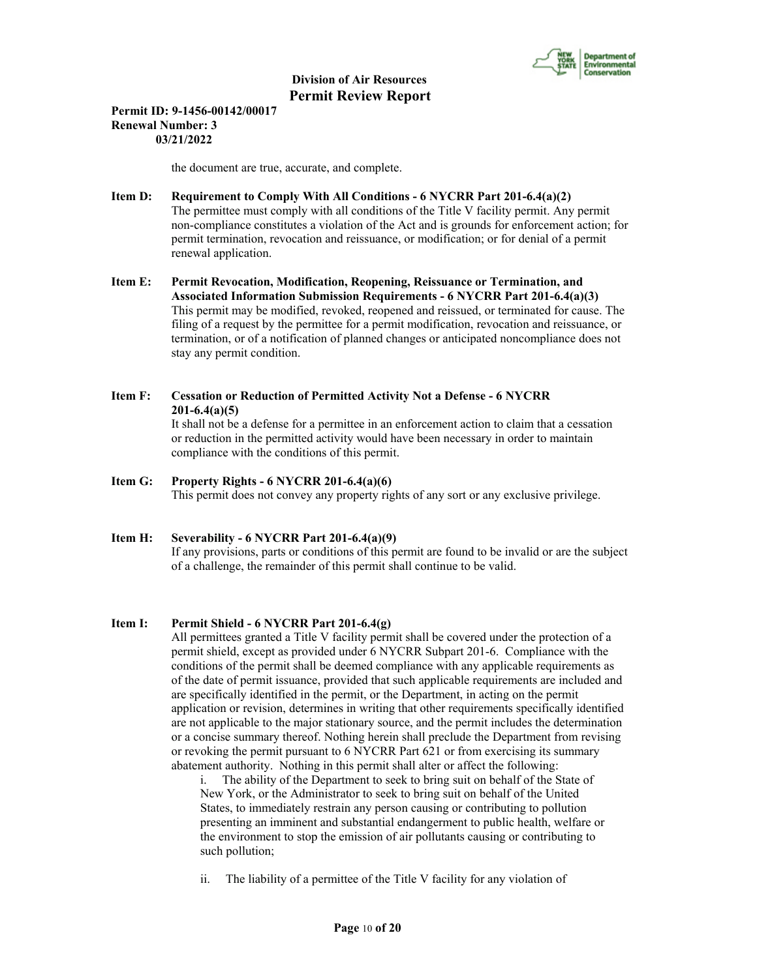

## **Permit ID: 9-1456-00142/00017 Renewal Number: 3 03/21/2022**

the document are true, accurate, and complete.

- **Item D: Requirement to Comply With All Conditions 6 NYCRR Part 201-6.4(a)(2)** The permittee must comply with all conditions of the Title V facility permit. Any permit non-compliance constitutes a violation of the Act and is grounds for enforcement action; for permit termination, revocation and reissuance, or modification; or for denial of a permit renewal application.
- **Item E: Permit Revocation, Modification, Reopening, Reissuance or Termination, and Associated Information Submission Requirements - 6 NYCRR Part 201-6.4(a)(3)** This permit may be modified, revoked, reopened and reissued, or terminated for cause. The filing of a request by the permittee for a permit modification, revocation and reissuance, or termination, or of a notification of planned changes or anticipated noncompliance does not stay any permit condition.

# **Item F: Cessation or Reduction of Permitted Activity Not a Defense - 6 NYCRR 201-6.4(a)(5)**

 It shall not be a defense for a permittee in an enforcement action to claim that a cessation or reduction in the permitted activity would have been necessary in order to maintain compliance with the conditions of this permit.

## **Item G: Property Rights - 6 NYCRR 201-6.4(a)(6)**

This permit does not convey any property rights of any sort or any exclusive privilege.

## **Item H: Severability - 6 NYCRR Part 201-6.4(a)(9)**

 If any provisions, parts or conditions of this permit are found to be invalid or are the subject of a challenge, the remainder of this permit shall continue to be valid.

## **Item I: Permit Shield - 6 NYCRR Part 201-6.4(g)**

 All permittees granted a Title V facility permit shall be covered under the protection of a permit shield, except as provided under 6 NYCRR Subpart 201-6. Compliance with the conditions of the permit shall be deemed compliance with any applicable requirements as of the date of permit issuance, provided that such applicable requirements are included and are specifically identified in the permit, or the Department, in acting on the permit application or revision, determines in writing that other requirements specifically identified are not applicable to the major stationary source, and the permit includes the determination or a concise summary thereof. Nothing herein shall preclude the Department from revising or revoking the permit pursuant to 6 NYCRR Part 621 or from exercising its summary abatement authority. Nothing in this permit shall alter or affect the following:

i. The ability of the Department to seek to bring suit on behalf of the State of New York, or the Administrator to seek to bring suit on behalf of the United States, to immediately restrain any person causing or contributing to pollution presenting an imminent and substantial endangerment to public health, welfare or the environment to stop the emission of air pollutants causing or contributing to such pollution;

ii. The liability of a permittee of the Title V facility for any violation of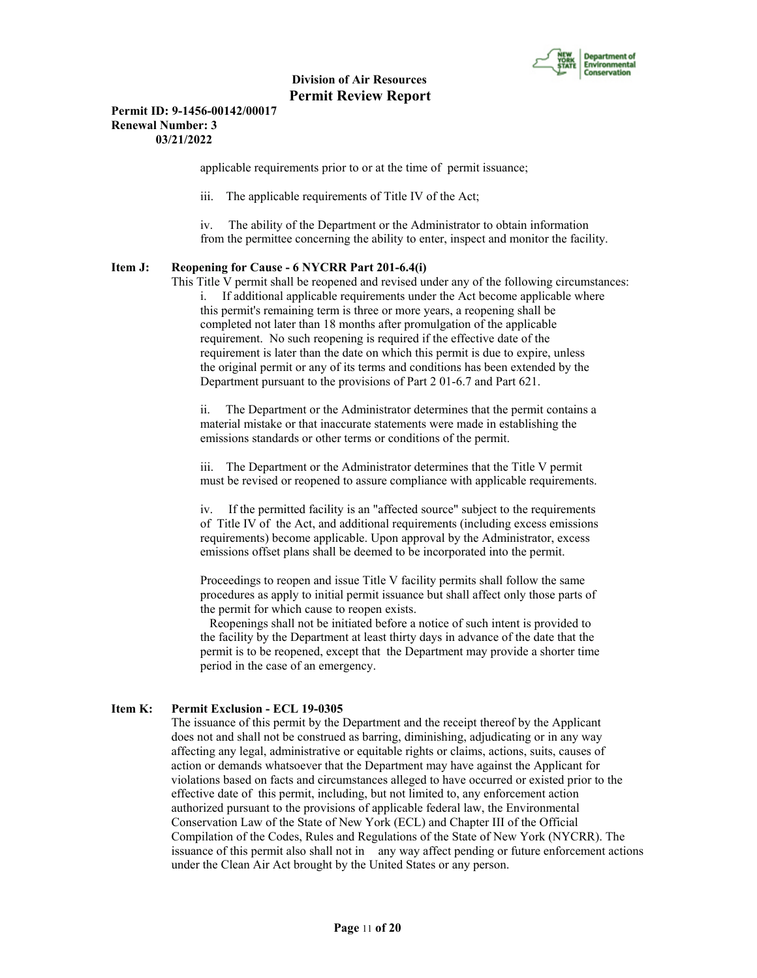

## **Permit ID: 9-1456-00142/00017 Renewal Number: 3 03/21/2022**

applicable requirements prior to or at the time of permit issuance;

iii. The applicable requirements of Title IV of the Act;

iv. The ability of the Department or the Administrator to obtain information from the permittee concerning the ability to enter, inspect and monitor the facility.

## **Item J: Reopening for Cause - 6 NYCRR Part 201-6.4(i)**

 This Title V permit shall be reopened and revised under any of the following circumstances: i. If additional applicable requirements under the Act become applicable where this permit's remaining term is three or more years, a reopening shall be completed not later than 18 months after promulgation of the applicable requirement. No such reopening is required if the effective date of the requirement is later than the date on which this permit is due to expire, unless

the original permit or any of its terms and conditions has been extended by the Department pursuant to the provisions of Part 2 01-6.7 and Part 621.

ii. The Department or the Administrator determines that the permit contains a material mistake or that inaccurate statements were made in establishing the emissions standards or other terms or conditions of the permit.

iii. The Department or the Administrator determines that the Title V permit must be revised or reopened to assure compliance with applicable requirements.

iv. If the permitted facility is an "affected source" subject to the requirements of Title IV of the Act, and additional requirements (including excess emissions requirements) become applicable. Upon approval by the Administrator, excess emissions offset plans shall be deemed to be incorporated into the permit.

Proceedings to reopen and issue Title V facility permits shall follow the same procedures as apply to initial permit issuance but shall affect only those parts of the permit for which cause to reopen exists.

 Reopenings shall not be initiated before a notice of such intent is provided to the facility by the Department at least thirty days in advance of the date that the permit is to be reopened, except that the Department may provide a shorter time period in the case of an emergency.

## **Item K: Permit Exclusion - ECL 19-0305**

 The issuance of this permit by the Department and the receipt thereof by the Applicant does not and shall not be construed as barring, diminishing, adjudicating or in any way affecting any legal, administrative or equitable rights or claims, actions, suits, causes of action or demands whatsoever that the Department may have against the Applicant for violations based on facts and circumstances alleged to have occurred or existed prior to the effective date of this permit, including, but not limited to, any enforcement action authorized pursuant to the provisions of applicable federal law, the Environmental Conservation Law of the State of New York (ECL) and Chapter III of the Official Compilation of the Codes, Rules and Regulations of the State of New York (NYCRR). The issuance of this permit also shall not in any way affect pending or future enforcement actions under the Clean Air Act brought by the United States or any person.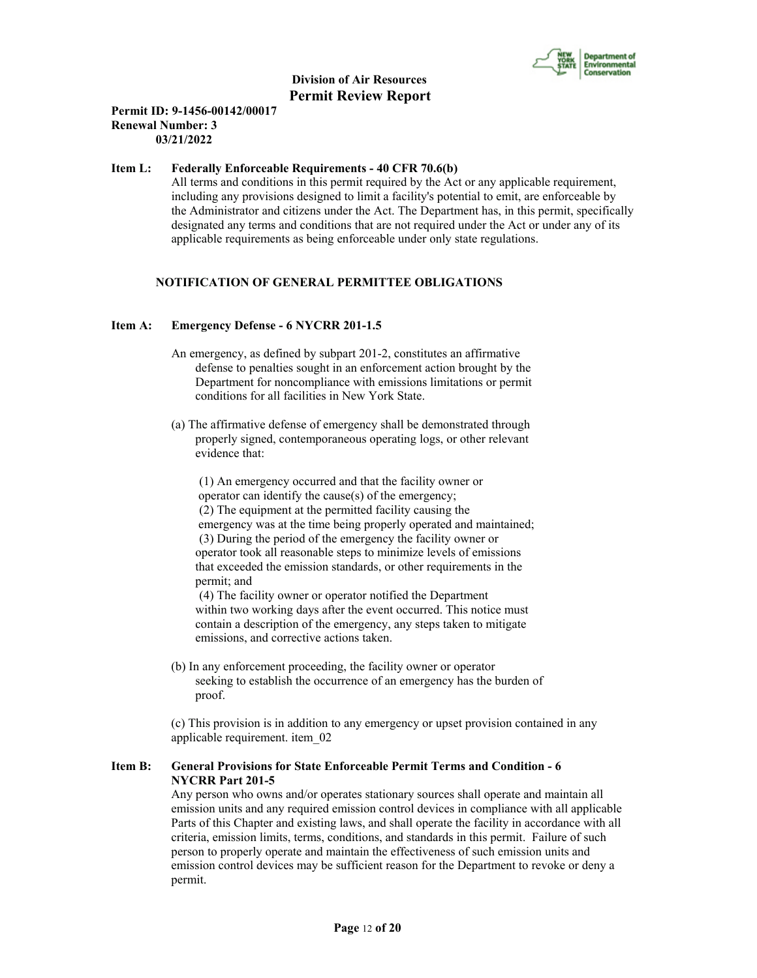

## **Permit ID: 9-1456-00142/00017 Renewal Number: 3 03/21/2022**

## **Item L: Federally Enforceable Requirements - 40 CFR 70.6(b)**

 All terms and conditions in this permit required by the Act or any applicable requirement, including any provisions designed to limit a facility's potential to emit, are enforceable by the Administrator and citizens under the Act. The Department has, in this permit, specifically designated any terms and conditions that are not required under the Act or under any of its applicable requirements as being enforceable under only state regulations.

## **NOTIFICATION OF GENERAL PERMITTEE OBLIGATIONS**

#### **Item A: Emergency Defense - 6 NYCRR 201-1.5**

- An emergency, as defined by subpart 201-2, constitutes an affirmative defense to penalties sought in an enforcement action brought by the Department for noncompliance with emissions limitations or permit conditions for all facilities in New York State.
- (a) The affirmative defense of emergency shall be demonstrated through properly signed, contemporaneous operating logs, or other relevant evidence that:

 (1) An emergency occurred and that the facility owner or operator can identify the cause(s) of the emergency; (2) The equipment at the permitted facility causing the emergency was at the time being properly operated and maintained; (3) During the period of the emergency the facility owner or operator took all reasonable steps to minimize levels of emissions that exceeded the emission standards, or other requirements in the permit; and

 (4) The facility owner or operator notified the Department within two working days after the event occurred. This notice must contain a description of the emergency, any steps taken to mitigate emissions, and corrective actions taken.

 (b) In any enforcement proceeding, the facility owner or operator seeking to establish the occurrence of an emergency has the burden of proof.

 (c) This provision is in addition to any emergency or upset provision contained in any applicable requirement. item\_02

## **Item B: General Provisions for State Enforceable Permit Terms and Condition - 6 NYCRR Part 201-5**

 Any person who owns and/or operates stationary sources shall operate and maintain all emission units and any required emission control devices in compliance with all applicable Parts of this Chapter and existing laws, and shall operate the facility in accordance with all criteria, emission limits, terms, conditions, and standards in this permit. Failure of such person to properly operate and maintain the effectiveness of such emission units and emission control devices may be sufficient reason for the Department to revoke or deny a permit.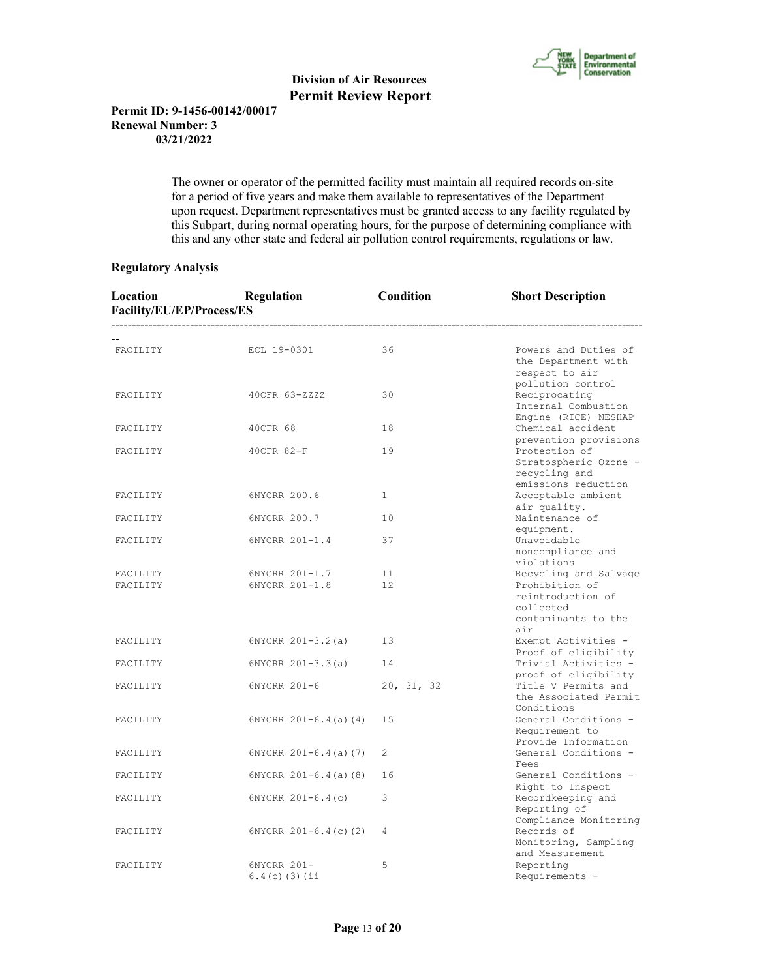

## **Permit ID: 9-1456-00142/00017 Renewal Number: 3 03/21/2022**

 The owner or operator of the permitted facility must maintain all required records on-site for a period of five years and make them available to representatives of the Department upon request. Department representatives must be granted access to any facility regulated by this Subpart, during normal operating hours, for the purpose of determining compliance with this and any other state and federal air pollution control requirements, regulations or law.

## **Regulatory Analysis**

| Location<br>Facility/EU/EP/Process/ES | Regulation<br>----------------------- | Condition             | <b>Short Description</b>                                                                         |
|---------------------------------------|---------------------------------------|-----------------------|--------------------------------------------------------------------------------------------------|
| FACILITY                              | ECL 19-0301                           | 36                    | Powers and Duties of<br>the Department with<br>respect to air                                    |
| FACILITY                              | 40CFR 63-ZZZZ                         | 30                    | pollution control<br>Reciprocating<br>Internal Combustion                                        |
| FACILITY                              | 40CFR 68                              | 18                    | Engine (RICE) NESHAP<br>Chemical accident                                                        |
| FACILITY                              | 40CFR 82-F                            | 19                    | prevention provisions<br>Protection of<br>Stratospheric Ozone -<br>recycling and                 |
| FACILITY                              | 6NYCRR 200.6                          | $\mathbf{1}$          | emissions reduction<br>Acceptable ambient<br>air quality.                                        |
| FACILITY                              | 6NYCRR 200.7                          | 10                    | Maintenance of<br>equipment.                                                                     |
| FACILITY                              | 6NYCRR 201-1.4                        | 37                    | Unavoidable<br>noncompliance and<br>violations                                                   |
| FACILITY<br>FACILITY                  | 6NYCRR 201-1.7<br>6NYCRR 201-1.8      | 11 <sup>1</sup><br>12 | Recycling and Salvage<br>Prohibition of<br>reintroduction of<br>collected<br>contaminants to the |
| FACILITY                              | $6NYCRR 201 - 3.2(a)$                 | 13                    | air<br>Exempt Activities -                                                                       |
| FACILITY                              | $6NYCRR 201-3.3(a)$                   | 14                    | Proof of eligibility<br>Trivial Activities -<br>proof of eligibility                             |
| FACILITY                              | 6NYCRR 201-6                          | 20, 31, 32            | Title V Permits and<br>the Associated Permit<br>Conditions                                       |
| FACILITY                              | $6NYCRR 201-6.4(a) (4)$               | 15                    | General Conditions -<br>Requirement to<br>Provide Information                                    |
| FACILITY                              | $6NYCRR 201-6.4(a) (7)$               | 2                     | General Conditions -                                                                             |
| FACILITY                              | $6NYCRR 201-6.4(a) (8)$               | 16                    | Fees<br>General Conditions -                                                                     |
| FACILITY                              | $6NYCRR 201-6.4(c)$                   | 3                     | Right to Inspect<br>Recordkeeping and<br>Reporting of                                            |
| FACILITY                              | $6NYCRR$ $201-6.4(c)$ (2)             | 4                     | Compliance Monitoring<br>Records of<br>Monitoring, Sampling<br>and Measurement                   |
| FACILITY                              | 6NYCRR 201-<br>$6.4(c)$ (3) (ii       | 5                     | Reporting<br>Requirements -                                                                      |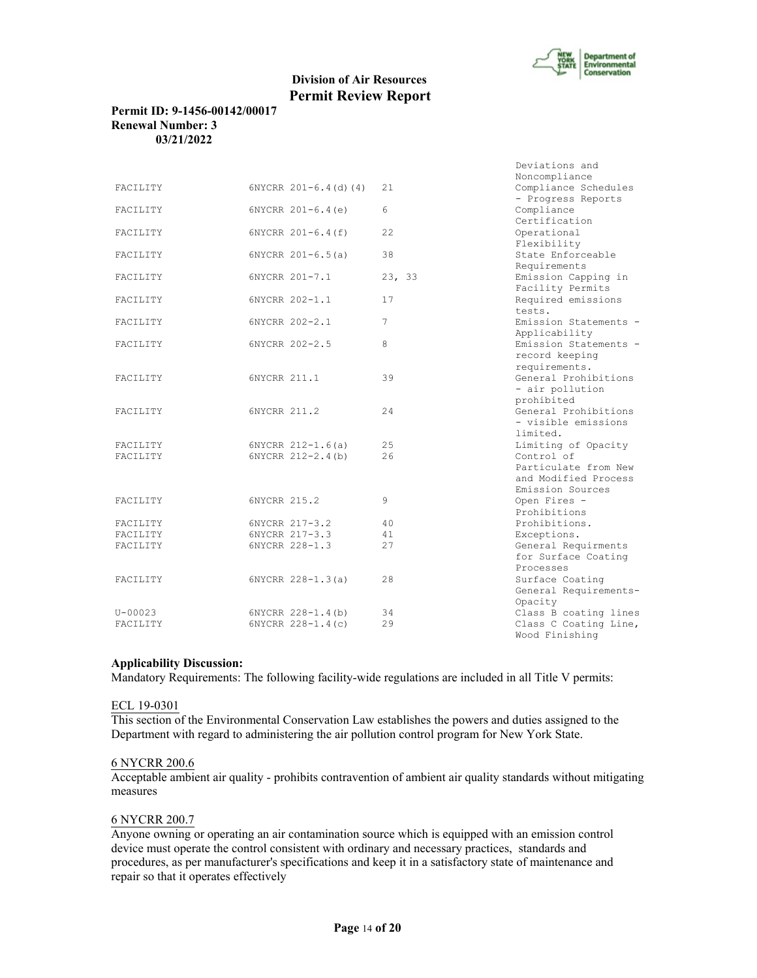

## **Permit ID: 9-1456-00142/00017 Renewal Number: 3 03/21/2022**

|             |                         |        | Deviations and                     |
|-------------|-------------------------|--------|------------------------------------|
|             |                         |        | Noncompliance                      |
| FACILITY    | $6NYCRR 201-6.4(d) (4)$ | 21     | Compliance Schedules               |
|             |                         |        | - Progress Reports                 |
| FACILITY    | $6NYCRR 201-6.4(e)$     | 6      | Compliance                         |
|             |                         |        | Certification                      |
| FACILITY    | 6NYCRR 201-6.4(f)       | 22     | Operational                        |
|             |                         |        | Flexibility                        |
| FACILITY    | 6NYCRR 201-6.5(a)       | 38     | State Enforceable                  |
|             |                         |        | Requirements                       |
| FACILITY    | 6NYCRR 201-7.1          | 23, 33 | Emission Capping in                |
|             |                         |        | Facility Permits                   |
| FACILITY    | 6NYCRR 202-1.1          | 17     | Required emissions                 |
|             |                         |        | tests.                             |
| FACILITY    | 6NYCRR 202-2.1          | 7      | Emission Statements -              |
|             |                         |        | Applicability                      |
| FACILITY    | 6NYCRR 202-2.5          | 8      | Emission Statements -              |
|             |                         |        | record keeping                     |
|             |                         |        | requirements.                      |
| FACILITY    | 6NYCRR 211.1            | 39     | General Prohibitions               |
|             |                         |        |                                    |
|             |                         |        | - air pollution                    |
|             |                         |        | prohibited<br>General Prohibitions |
| FACILITY    | 6NYCRR 211.2            | 24     |                                    |
|             |                         |        | - visible emissions                |
|             |                         |        | limited.                           |
| FACILITY    | $6NYCRR 212-1.6(a)$     | 25     | Limiting of Opacity                |
| FACILITY    | 6NYCRR 212-2.4(b)       | 2.6    | Control of                         |
|             |                         |        | Particulate from New               |
|             |                         |        | and Modified Process               |
|             |                         |        | Emission Sources                   |
| FACILITY    | 6NYCRR 215.2            | 9      | Open Fires -                       |
|             |                         |        | Prohibitions                       |
| FACILITY    | 6NYCRR 217-3.2          | 40     | Prohibitions.                      |
| FACILITY    | 6NYCRR 217-3.3          | 41     | Exceptions.                        |
| FACILITY    | 6NYCRR 228-1.3          | 27     | General Requirments                |
|             |                         |        | for Surface Coating                |
|             |                         |        | Processes                          |
| FACILITY    | 6NYCRR 228-1.3(a)       | 28     | Surface Coating                    |
|             |                         |        | General Requirements-              |
|             |                         |        | Opacity                            |
| $U - 00023$ | 6NYCRR 228-1.4(b)       | 34     | Class B coating lines              |
| FACILITY    | 6NYCRR 228-1.4(c)       | 29     | Class C Coating Line,              |
|             |                         |        | Wood Finishing                     |

#### **Applicability Discussion:**

Mandatory Requirements: The following facility-wide regulations are included in all Title V permits:

#### ECL 19-0301

This section of the Environmental Conservation Law establishes the powers and duties assigned to the Department with regard to administering the air pollution control program for New York State.

#### 6 NYCRR 200.6

Acceptable ambient air quality - prohibits contravention of ambient air quality standards without mitigating measures

## 6 NYCRR 200.7

Anyone owning or operating an air contamination source which is equipped with an emission control device must operate the control consistent with ordinary and necessary practices, standards and procedures, as per manufacturer's specifications and keep it in a satisfactory state of maintenance and repair so that it operates effectively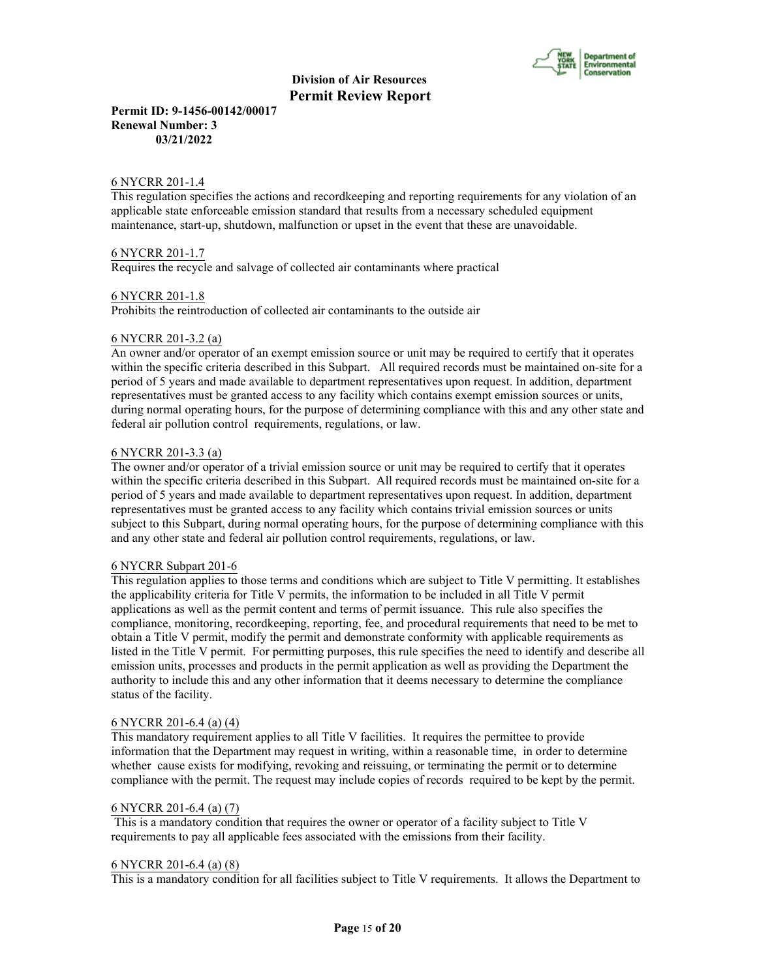

**Permit ID: 9-1456-00142/00017 Renewal Number: 3 03/21/2022**

#### 6 NYCRR 201-1.4

This regulation specifies the actions and recordkeeping and reporting requirements for any violation of an applicable state enforceable emission standard that results from a necessary scheduled equipment maintenance, start-up, shutdown, malfunction or upset in the event that these are unavoidable.

#### 6 NYCRR 201-1.7

Requires the recycle and salvage of collected air contaminants where practical

#### 6 NYCRR 201-1.8

Prohibits the reintroduction of collected air contaminants to the outside air

#### 6 NYCRR 201-3.2 (a)

An owner and/or operator of an exempt emission source or unit may be required to certify that it operates within the specific criteria described in this Subpart. All required records must be maintained on-site for a period of 5 years and made available to department representatives upon request. In addition, department representatives must be granted access to any facility which contains exempt emission sources or units, during normal operating hours, for the purpose of determining compliance with this and any other state and federal air pollution control requirements, regulations, or law.

#### 6 NYCRR 201-3.3 (a)

The owner and/or operator of a trivial emission source or unit may be required to certify that it operates within the specific criteria described in this Subpart. All required records must be maintained on-site for a period of 5 years and made available to department representatives upon request. In addition, department representatives must be granted access to any facility which contains trivial emission sources or units subject to this Subpart, during normal operating hours, for the purpose of determining compliance with this and any other state and federal air pollution control requirements, regulations, or law.

#### 6 NYCRR Subpart 201-6

This regulation applies to those terms and conditions which are subject to Title V permitting. It establishes the applicability criteria for Title V permits, the information to be included in all Title V permit applications as well as the permit content and terms of permit issuance. This rule also specifies the compliance, monitoring, recordkeeping, reporting, fee, and procedural requirements that need to be met to obtain a Title V permit, modify the permit and demonstrate conformity with applicable requirements as listed in the Title V permit. For permitting purposes, this rule specifies the need to identify and describe all emission units, processes and products in the permit application as well as providing the Department the authority to include this and any other information that it deems necessary to determine the compliance status of the facility.

#### 6 NYCRR 201-6.4 (a) (4)

This mandatory requirement applies to all Title V facilities. It requires the permittee to provide information that the Department may request in writing, within a reasonable time, in order to determine whether cause exists for modifying, revoking and reissuing, or terminating the permit or to determine compliance with the permit. The request may include copies of records required to be kept by the permit.

#### 6 NYCRR 201-6.4 (a) (7)

 This is a mandatory condition that requires the owner or operator of a facility subject to Title V requirements to pay all applicable fees associated with the emissions from their facility.

#### 6 NYCRR 201-6.4 (a) (8)

This is a mandatory condition for all facilities subject to Title V requirements. It allows the Department to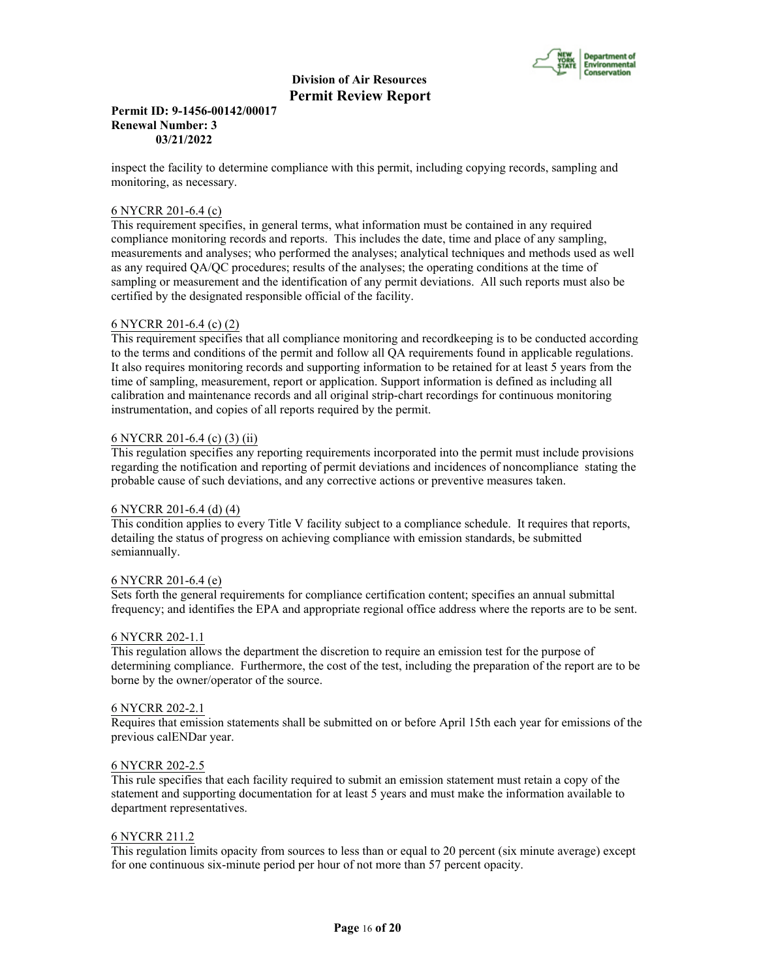

## **Permit ID: 9-1456-00142/00017 Renewal Number: 3 03/21/2022**

inspect the facility to determine compliance with this permit, including copying records, sampling and monitoring, as necessary.

#### 6 NYCRR 201-6.4 (c)

This requirement specifies, in general terms, what information must be contained in any required compliance monitoring records and reports. This includes the date, time and place of any sampling, measurements and analyses; who performed the analyses; analytical techniques and methods used as well as any required QA/QC procedures; results of the analyses; the operating conditions at the time of sampling or measurement and the identification of any permit deviations. All such reports must also be certified by the designated responsible official of the facility.

#### 6 NYCRR 201-6.4 (c) (2)

This requirement specifies that all compliance monitoring and recordkeeping is to be conducted according to the terms and conditions of the permit and follow all QA requirements found in applicable regulations. It also requires monitoring records and supporting information to be retained for at least 5 years from the time of sampling, measurement, report or application. Support information is defined as including all calibration and maintenance records and all original strip-chart recordings for continuous monitoring instrumentation, and copies of all reports required by the permit.

## 6 NYCRR 201-6.4 (c) (3) (ii)

This regulation specifies any reporting requirements incorporated into the permit must include provisions regarding the notification and reporting of permit deviations and incidences of noncompliance stating the probable cause of such deviations, and any corrective actions or preventive measures taken.

#### 6 NYCRR 201-6.4 (d) (4)

This condition applies to every Title V facility subject to a compliance schedule. It requires that reports, detailing the status of progress on achieving compliance with emission standards, be submitted semiannually.

#### 6 NYCRR 201-6.4 (e)

Sets forth the general requirements for compliance certification content; specifies an annual submittal frequency; and identifies the EPA and appropriate regional office address where the reports are to be sent.

#### 6 NYCRR 202-1.1

This regulation allows the department the discretion to require an emission test for the purpose of determining compliance. Furthermore, the cost of the test, including the preparation of the report are to be borne by the owner/operator of the source.

#### 6 NYCRR 202-2.1

Requires that emission statements shall be submitted on or before April 15th each year for emissions of the previous calENDar year.

#### 6 NYCRR 202-2.5

This rule specifies that each facility required to submit an emission statement must retain a copy of the statement and supporting documentation for at least 5 years and must make the information available to department representatives.

#### 6 NYCRR 211.2

This regulation limits opacity from sources to less than or equal to 20 percent (six minute average) except for one continuous six-minute period per hour of not more than 57 percent opacity.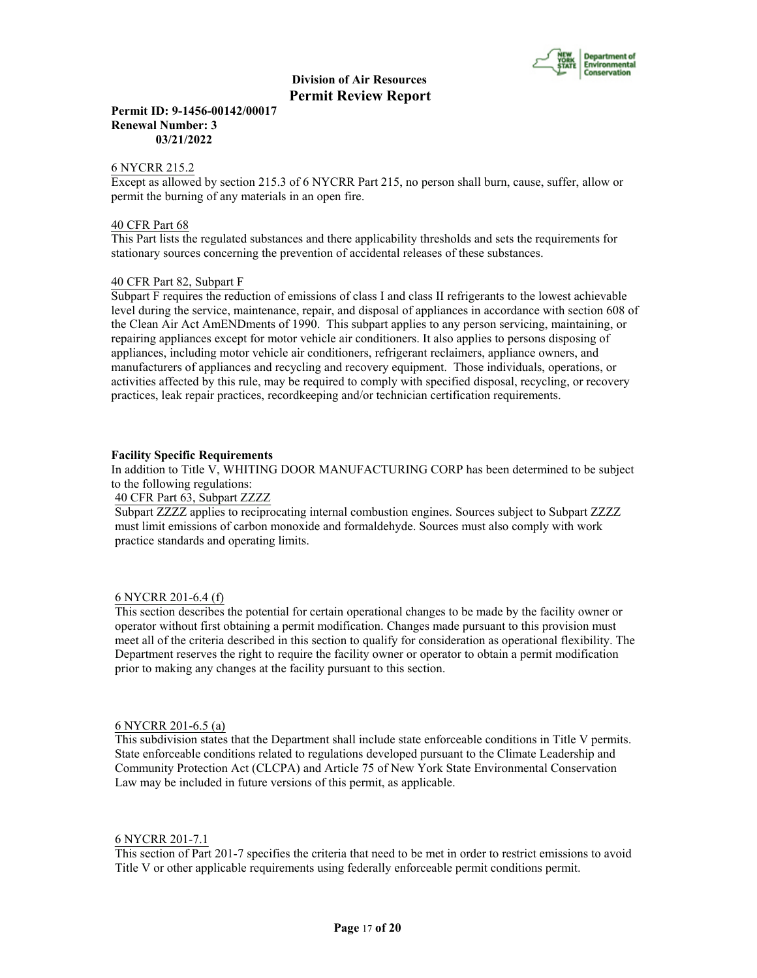

## **Permit ID: 9-1456-00142/00017 Renewal Number: 3 03/21/2022**

#### 6 NYCRR 215.2

Except as allowed by section 215.3 of 6 NYCRR Part 215, no person shall burn, cause, suffer, allow or permit the burning of any materials in an open fire.

## 40 CFR Part 68

This Part lists the regulated substances and there applicability thresholds and sets the requirements for stationary sources concerning the prevention of accidental releases of these substances.

## 40 CFR Part 82, Subpart F

Subpart F requires the reduction of emissions of class I and class II refrigerants to the lowest achievable level during the service, maintenance, repair, and disposal of appliances in accordance with section 608 of the Clean Air Act AmENDments of 1990. This subpart applies to any person servicing, maintaining, or repairing appliances except for motor vehicle air conditioners. It also applies to persons disposing of appliances, including motor vehicle air conditioners, refrigerant reclaimers, appliance owners, and manufacturers of appliances and recycling and recovery equipment. Those individuals, operations, or activities affected by this rule, may be required to comply with specified disposal, recycling, or recovery practices, leak repair practices, recordkeeping and/or technician certification requirements.

## **Facility Specific Requirements**

In addition to Title V, WHITING DOOR MANUFACTURING CORP has been determined to be subject to the following regulations:

### 40 CFR Part 63, Subpart ZZZZ

Subpart ZZZZ applies to reciprocating internal combustion engines. Sources subject to Subpart ZZZZ must limit emissions of carbon monoxide and formaldehyde. Sources must also comply with work practice standards and operating limits.

#### 6 NYCRR 201-6.4 (f)

This section describes the potential for certain operational changes to be made by the facility owner or operator without first obtaining a permit modification. Changes made pursuant to this provision must meet all of the criteria described in this section to qualify for consideration as operational flexibility. The Department reserves the right to require the facility owner or operator to obtain a permit modification prior to making any changes at the facility pursuant to this section.

#### 6 NYCRR 201-6.5 (a)

This subdivision states that the Department shall include state enforceable conditions in Title V permits. State enforceable conditions related to regulations developed pursuant to the Climate Leadership and Community Protection Act (CLCPA) and Article 75 of New York State Environmental Conservation Law may be included in future versions of this permit, as applicable.

#### 6 NYCRR 201-7.1

This section of Part 201-7 specifies the criteria that need to be met in order to restrict emissions to avoid Title V or other applicable requirements using federally enforceable permit conditions permit.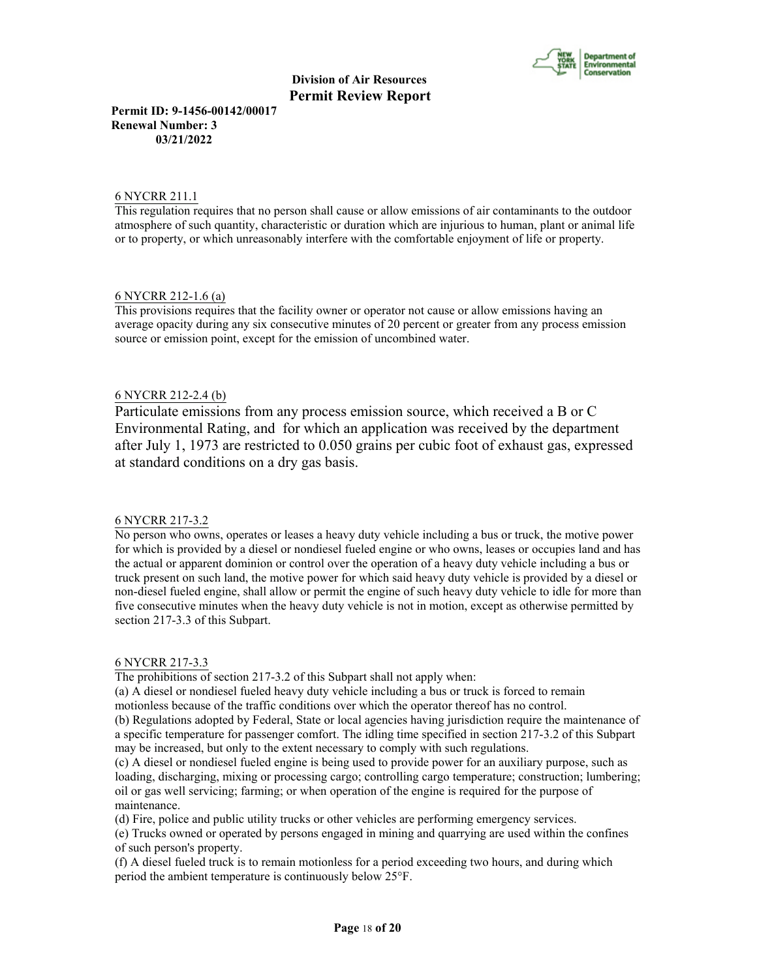

**Permit ID: 9-1456-00142/00017 Renewal Number: 3 03/21/2022**

#### 6 NYCRR 211.1

This regulation requires that no person shall cause or allow emissions of air contaminants to the outdoor atmosphere of such quantity, characteristic or duration which are injurious to human, plant or animal life or to property, or which unreasonably interfere with the comfortable enjoyment of life or property.

## 6 NYCRR 212-1.6 (a)

This provisions requires that the facility owner or operator not cause or allow emissions having an average opacity during any six consecutive minutes of 20 percent or greater from any process emission source or emission point, except for the emission of uncombined water.

## 6 NYCRR 212-2.4 (b)

Particulate emissions from any process emission source, which received a B or C Environmental Rating, and for which an application was received by the department after July 1, 1973 are restricted to 0.050 grains per cubic foot of exhaust gas, expressed at standard conditions on a dry gas basis.

#### 6 NYCRR 217-3.2

No person who owns, operates or leases a heavy duty vehicle including a bus or truck, the motive power for which is provided by a diesel or nondiesel fueled engine or who owns, leases or occupies land and has the actual or apparent dominion or control over the operation of a heavy duty vehicle including a bus or truck present on such land, the motive power for which said heavy duty vehicle is provided by a diesel or non-diesel fueled engine, shall allow or permit the engine of such heavy duty vehicle to idle for more than five consecutive minutes when the heavy duty vehicle is not in motion, except as otherwise permitted by section 217-3.3 of this Subpart.

#### 6 NYCRR 217-3.3

The prohibitions of section 217-3.2 of this Subpart shall not apply when:

(a) A diesel or nondiesel fueled heavy duty vehicle including a bus or truck is forced to remain motionless because of the traffic conditions over which the operator thereof has no control.

(b) Regulations adopted by Federal, State or local agencies having jurisdiction require the maintenance of a specific temperature for passenger comfort. The idling time specified in section 217-3.2 of this Subpart may be increased, but only to the extent necessary to comply with such regulations.

(c) A diesel or nondiesel fueled engine is being used to provide power for an auxiliary purpose, such as loading, discharging, mixing or processing cargo; controlling cargo temperature; construction; lumbering; oil or gas well servicing; farming; or when operation of the engine is required for the purpose of maintenance.

(d) Fire, police and public utility trucks or other vehicles are performing emergency services.

(e) Trucks owned or operated by persons engaged in mining and quarrying are used within the confines of such person's property.

(f) A diesel fueled truck is to remain motionless for a period exceeding two hours, and during which period the ambient temperature is continuously below 25°F.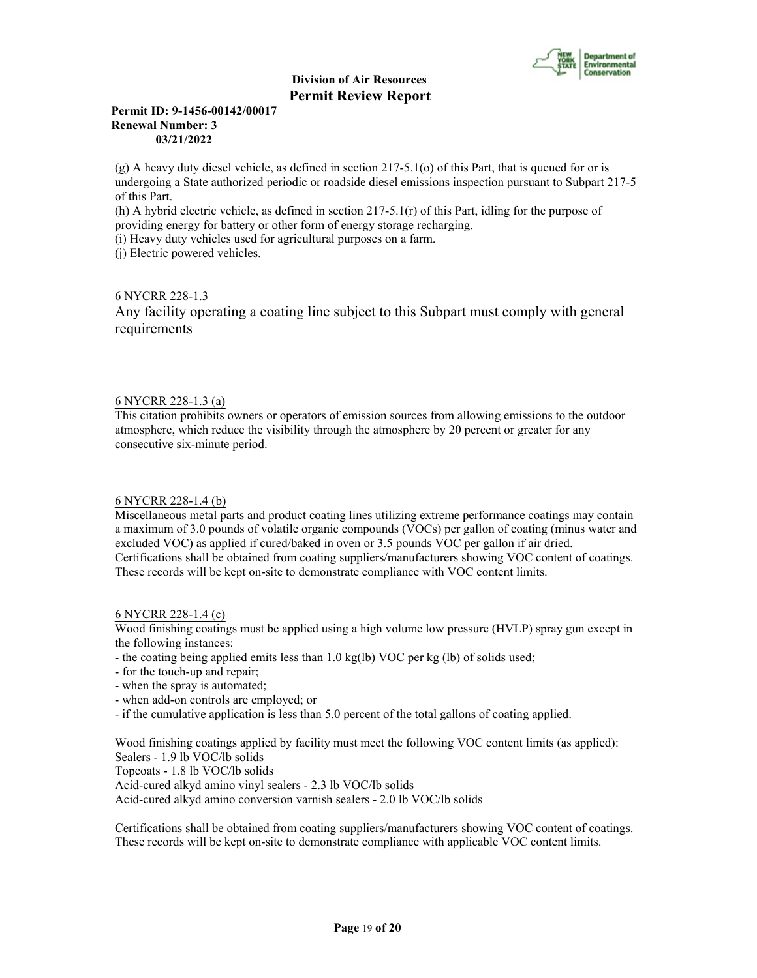

## **Permit ID: 9-1456-00142/00017 Renewal Number: 3 03/21/2022**

(g) A heavy duty diesel vehicle, as defined in section 217-5.1(o) of this Part, that is queued for or is undergoing a State authorized periodic or roadside diesel emissions inspection pursuant to Subpart 217-5 of this Part.

(h) A hybrid electric vehicle, as defined in section 217-5.1(r) of this Part, idling for the purpose of providing energy for battery or other form of energy storage recharging.

(i) Heavy duty vehicles used for agricultural purposes on a farm.

(j) Electric powered vehicles.

## 6 NYCRR 228-1.3

Any facility operating a coating line subject to this Subpart must comply with general requirements

## 6 NYCRR 228-1.3 (a)

This citation prohibits owners or operators of emission sources from allowing emissions to the outdoor atmosphere, which reduce the visibility through the atmosphere by 20 percent or greater for any consecutive six-minute period.

## 6 NYCRR 228-1.4 (b)

Miscellaneous metal parts and product coating lines utilizing extreme performance coatings may contain a maximum of 3.0 pounds of volatile organic compounds (VOCs) per gallon of coating (minus water and excluded VOC) as applied if cured/baked in oven or 3.5 pounds VOC per gallon if air dried. Certifications shall be obtained from coating suppliers/manufacturers showing VOC content of coatings. These records will be kept on-site to demonstrate compliance with VOC content limits.

## 6 NYCRR 228-1.4 (c)

Wood finishing coatings must be applied using a high volume low pressure (HVLP) spray gun except in the following instances:

- the coating being applied emits less than 1.0 kg(lb) VOC per kg (lb) of solids used;

- for the touch-up and repair;
- when the spray is automated;
- when add-on controls are employed; or
- if the cumulative application is less than 5.0 percent of the total gallons of coating applied.

Wood finishing coatings applied by facility must meet the following VOC content limits (as applied): Sealers - 1.9 lb VOC/lb solids Topcoats - 1.8 lb VOC/lb solids Acid-cured alkyd amino vinyl sealers - 2.3 lb VOC/lb solids Acid-cured alkyd amino conversion varnish sealers - 2.0 lb VOC/lb solids

Certifications shall be obtained from coating suppliers/manufacturers showing VOC content of coatings. These records will be kept on-site to demonstrate compliance with applicable VOC content limits.